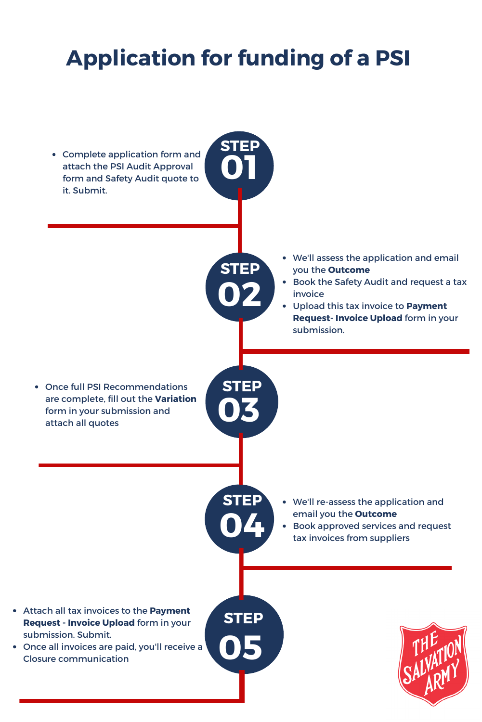## **Application for funding of a PSI**

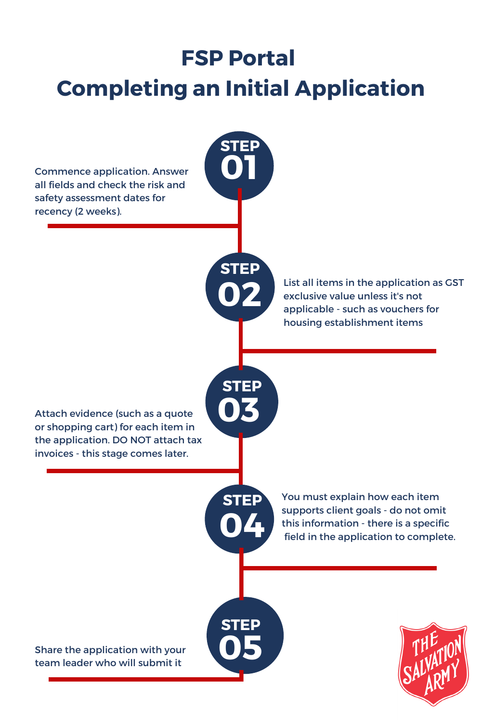## **FSP Portal Completing an Initial Application**

**01**

**STEP**

**02**

**STEP**

**03**

**STEP**

**04**

**STEP**

**STEP**

Commence application. Answer all fields and check the risk and safety assessment dates for recency (2 weeks).

> List all items in the application as GST exclusive value unless it's not applicable - such as vouchers for housing establishment items

Attach evidence (such as a quote or shopping cart) for each item in the application. DO NOT attach tax invoices - this stage comes later.

> You must explain how each item supports client goals - do not omit this information - there is a specific field in the application to complete.

Share the application with your team leader who will submit it <sup>r</sup> **05**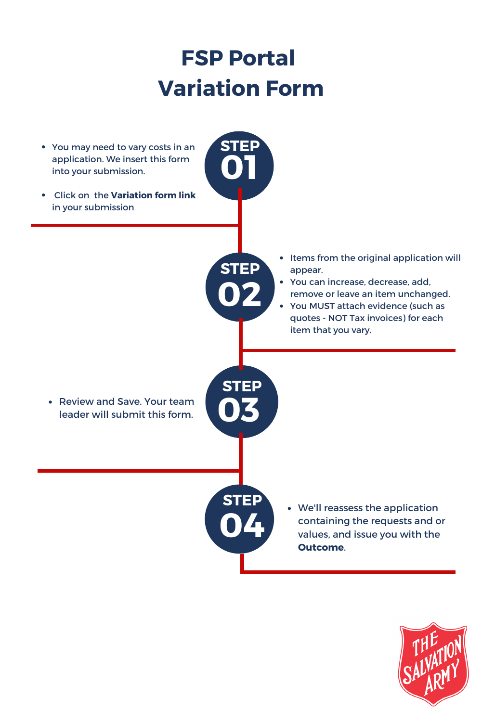## **FSP Portal Variation Form**

**01**

**STEP**

**02**

**STEP**

**04**

**STEP**

- You may need to vary costs in an application. We insert this form into your submission.
- Click on the **Variation form link** in your submission

- **03 STEP**
- Review and Save. Your team leader will submit this form.
- Items from the original application will  $\bullet$ appear.
- You can increase, decrease, add, remove or leave an item unchanged.
- You MUST attach evidence (such as quotes - NOT Tax invoices) for each item that you vary.

We'll reassess the application containing the requests and or values, and issue you with the **Outcome**.